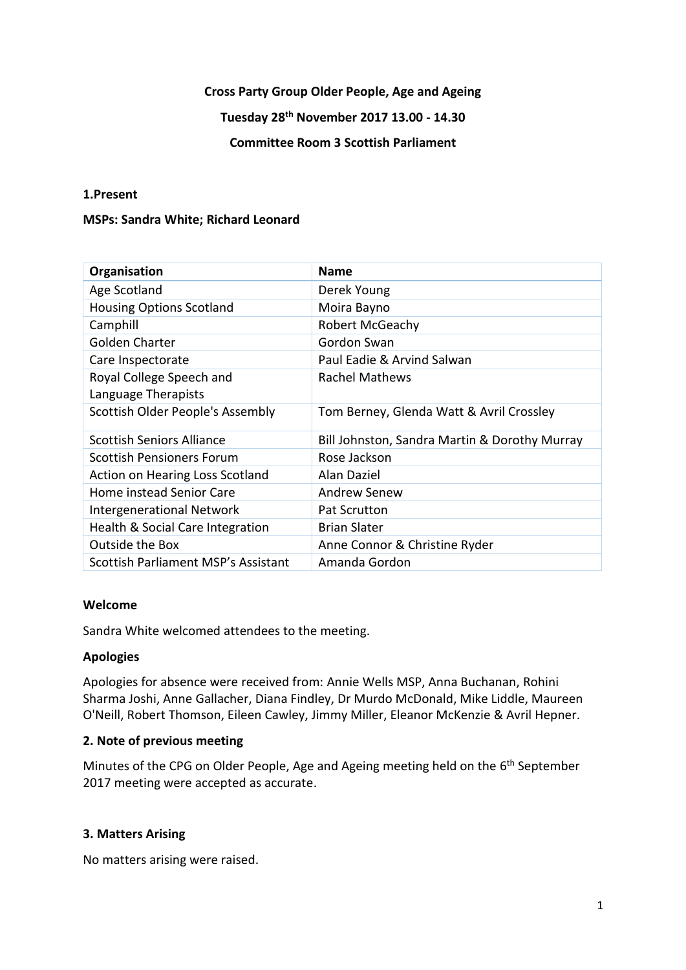### **Cross Party Group Older People, Age and Ageing**

# **Tuesday 28th November 2017 13.00 - 14.30**

## **Committee Room 3 Scottish Parliament**

### **1.Present**

#### **MSPs: Sandra White; Richard Leonard**

| Organisation                           | <b>Name</b>                                   |
|----------------------------------------|-----------------------------------------------|
| Age Scotland                           | Derek Young                                   |
| <b>Housing Options Scotland</b>        | Moira Bayno                                   |
| Camphill                               | Robert McGeachy                               |
| Golden Charter                         | Gordon Swan                                   |
| Care Inspectorate                      | Paul Eadie & Arvind Salwan                    |
| Royal College Speech and               | Rachel Mathews                                |
| Language Therapists                    |                                               |
| Scottish Older People's Assembly       | Tom Berney, Glenda Watt & Avril Crossley      |
| <b>Scottish Seniors Alliance</b>       | Bill Johnston, Sandra Martin & Dorothy Murray |
| <b>Scottish Pensioners Forum</b>       | Rose Jackson                                  |
| <b>Action on Hearing Loss Scotland</b> | Alan Daziel                                   |
| Home instead Senior Care               | <b>Andrew Senew</b>                           |
| <b>Intergenerational Network</b>       | <b>Pat Scrutton</b>                           |
| Health & Social Care Integration       | <b>Brian Slater</b>                           |
| <b>Outside the Box</b>                 | Anne Connor & Christine Ryder                 |
| Scottish Parliament MSP's Assistant    | Amanda Gordon                                 |

### **Welcome**

Sandra White welcomed attendees to the meeting.

### **Apologies**

Apologies for absence were received from: Annie Wells MSP, Anna Buchanan, Rohini Sharma Joshi, Anne Gallacher, Diana Findley, Dr Murdo McDonald, Mike Liddle, Maureen O'Neill, Robert Thomson, Eileen Cawley, Jimmy Miller, Eleanor McKenzie & Avril Hepner.

### **2. Note of previous meeting**

Minutes of the CPG on Older People, Age and Ageing meeting held on the 6<sup>th</sup> September 2017 meeting were accepted as accurate.

### **3. Matters Arising**

No matters arising were raised.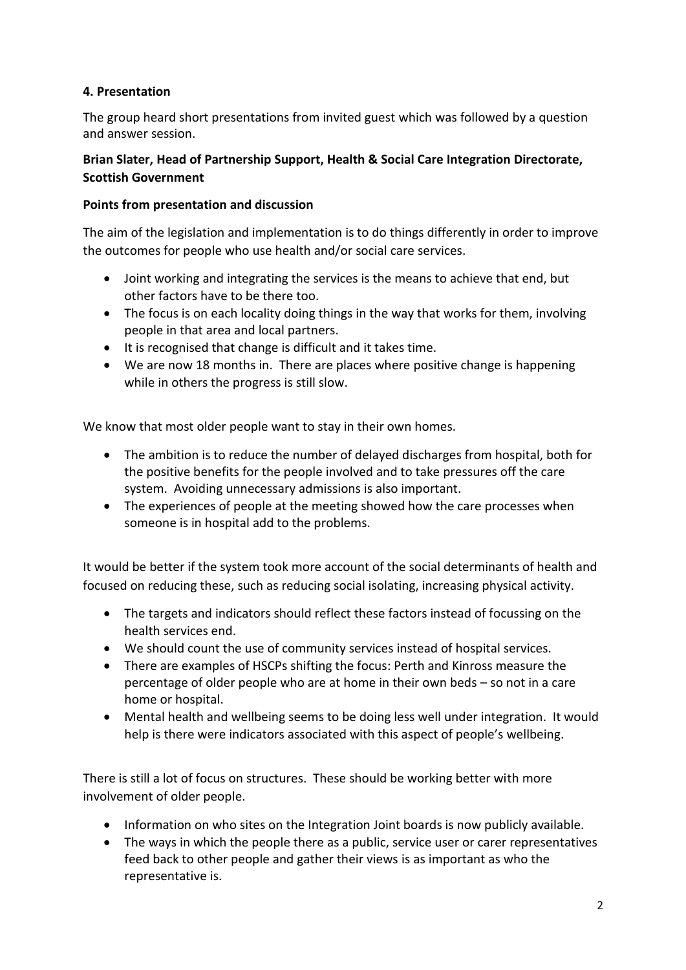# **4. Presentation**

The group heard short presentations from invited guest which was followed by a question and answer session.

# **Brian Slater, Head of Partnership Support, Health & Social Care Integration Directorate, Scottish Government**

## **Points from presentation and discussion**

The aim of the legislation and implementation is to do things differently in order to improve the outcomes for people who use health and/or social care services.

- Joint working and integrating the services is the means to achieve that end, but other factors have to be there too.
- The focus is on each locality doing things in the way that works for them, involving people in that area and local partners.
- It is recognised that change is difficult and it takes time.
- We are now 18 months in. There are places where positive change is happening while in others the progress is still slow.

We know that most older people want to stay in their own homes.

- The ambition is to reduce the number of delayed discharges from hospital, both for the positive benefits for the people involved and to take pressures off the care system. Avoiding unnecessary admissions is also important.
- The experiences of people at the meeting showed how the care processes when someone is in hospital add to the problems.

It would be better if the system took more account of the social determinants of health and focused on reducing these, such as reducing social isolating, increasing physical activity.

- The targets and indicators should reflect these factors instead of focussing on the health services end.
- We should count the use of community services instead of hospital services.
- There are examples of HSCPs shifting the focus: Perth and Kinross measure the percentage of older people who are at home in their own beds – so not in a care home or hospital.
- Mental health and wellbeing seems to be doing less well under integration. It would help is there were indicators associated with this aspect of people's wellbeing.

There is still a lot of focus on structures. These should be working better with more involvement of older people.

- Information on who sites on the Integration Joint boards is now publicly available.
- The ways in which the people there as a public, service user or carer representatives feed back to other people and gather their views is as important as who the representative is.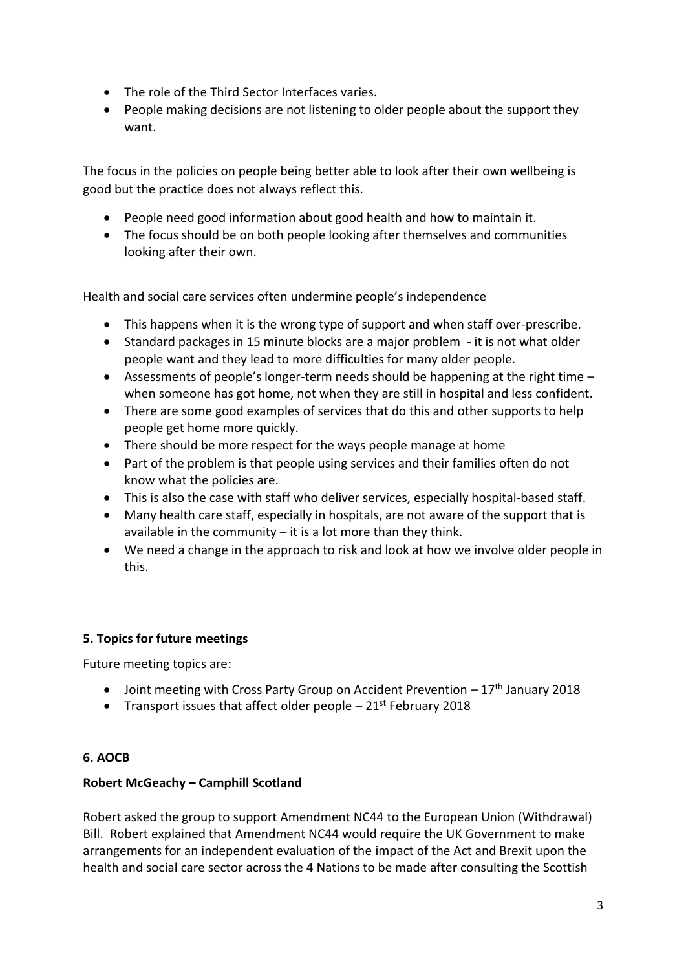- The role of the Third Sector Interfaces varies.
- People making decisions are not listening to older people about the support they want.

The focus in the policies on people being better able to look after their own wellbeing is good but the practice does not always reflect this.

- People need good information about good health and how to maintain it.
- The focus should be on both people looking after themselves and communities looking after their own.

Health and social care services often undermine people's independence

- This happens when it is the wrong type of support and when staff over-prescribe.
- Standard packages in 15 minute blocks are a major problem it is not what older people want and they lead to more difficulties for many older people.
- Assessments of people's longer-term needs should be happening at the right time when someone has got home, not when they are still in hospital and less confident.
- There are some good examples of services that do this and other supports to help people get home more quickly.
- There should be more respect for the ways people manage at home
- Part of the problem is that people using services and their families often do not know what the policies are.
- This is also the case with staff who deliver services, especially hospital-based staff.
- Many health care staff, especially in hospitals, are not aware of the support that is available in the community  $-$  it is a lot more than they think.
- We need a change in the approach to risk and look at how we involve older people in this.

## **5. Topics for future meetings**

Future meeting topics are:

- $\bullet$  Joint meeting with Cross Party Group on Accident Prevention 17<sup>th</sup> January 2018
- Transport issues that affect older people  $-21$ <sup>st</sup> February 2018

## **6. AOCB**

## **Robert McGeachy – Camphill Scotland**

Robert asked the group to support Amendment NC44 to the European Union (Withdrawal) Bill. Robert explained that Amendment NC44 would require the UK Government to make arrangements for an independent evaluation of the impact of the Act and Brexit upon the health and social care sector across the 4 Nations to be made after consulting the Scottish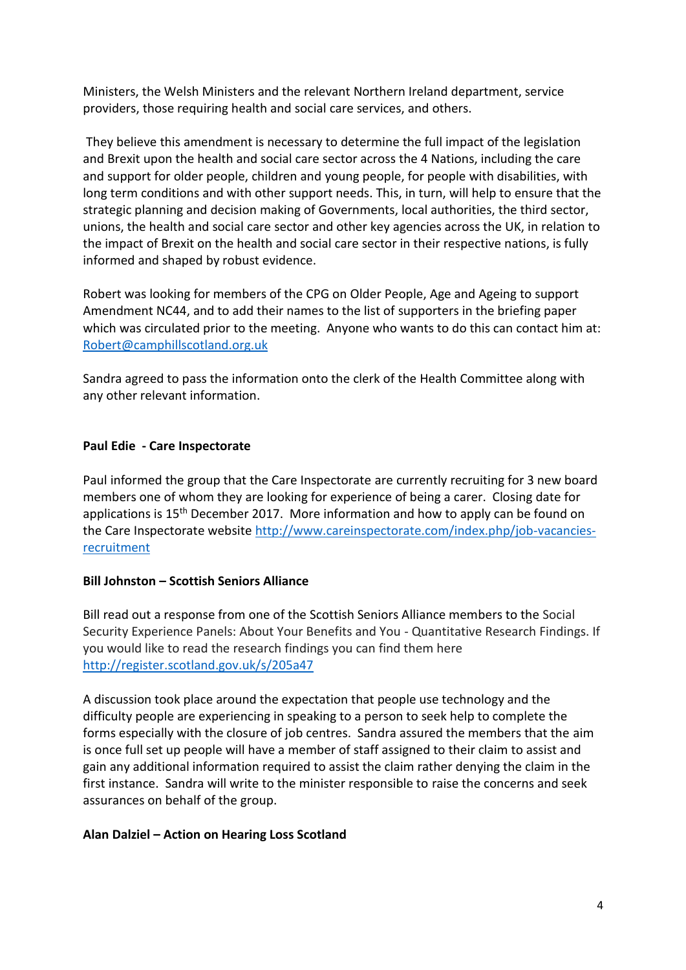Ministers, the Welsh Ministers and the relevant Northern Ireland department, service providers, those requiring health and social care services, and others.

They believe this amendment is necessary to determine the full impact of the legislation and Brexit upon the health and social care sector across the 4 Nations, including the care and support for older people, children and young people, for people with disabilities, with long term conditions and with other support needs. This, in turn, will help to ensure that the strategic planning and decision making of Governments, local authorities, the third sector, unions, the health and social care sector and other key agencies across the UK, in relation to the impact of Brexit on the health and social care sector in their respective nations, is fully informed and shaped by robust evidence.

Robert was looking for members of the CPG on Older People, Age and Ageing to support Amendment NC44, and to add their names to the list of supporters in the briefing paper which was circulated prior to the meeting. Anyone who wants to do this can contact him at: [Robert@camphillscotland.org.uk](mailto:Robert@camphillscotland.org.uk)

Sandra agreed to pass the information onto the clerk of the Health Committee along with any other relevant information.

## **Paul Edie - Care Inspectorate**

Paul informed the group that the Care Inspectorate are currently recruiting for 3 new board members one of whom they are looking for experience of being a carer. Closing date for applications is 15<sup>th</sup> December 2017. More information and how to apply can be found on the Care Inspectorate website [http://www.careinspectorate.com/index.php/job-vacancies](http://www.careinspectorate.com/index.php/job-vacancies-recruitment)[recruitment](http://www.careinspectorate.com/index.php/job-vacancies-recruitment)

### **Bill Johnston – Scottish Seniors Alliance**

Bill read out a response from one of the Scottish Seniors Alliance members to the Social Security Experience Panels: About Your Benefits and You - Quantitative Research Findings. If you would like to read the research findings you can find them here <http://register.scotland.gov.uk/s/205a47>

A discussion took place around the expectation that people use technology and the difficulty people are experiencing in speaking to a person to seek help to complete the forms especially with the closure of job centres. Sandra assured the members that the aim is once full set up people will have a member of staff assigned to their claim to assist and gain any additional information required to assist the claim rather denying the claim in the first instance. Sandra will write to the minister responsible to raise the concerns and seek assurances on behalf of the group.

### **Alan Dalziel – Action on Hearing Loss Scotland**